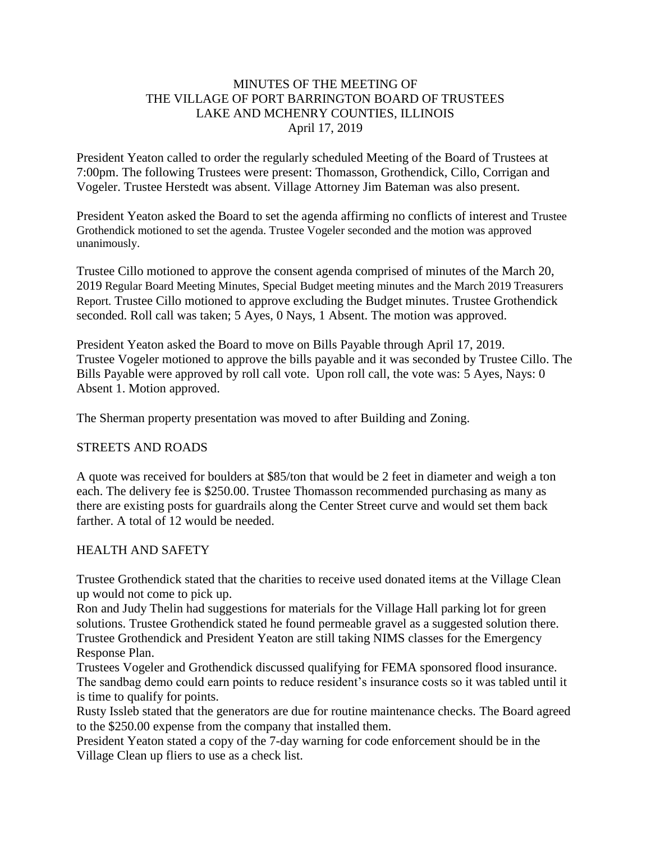### MINUTES OF THE MEETING OF THE VILLAGE OF PORT BARRINGTON BOARD OF TRUSTEES LAKE AND MCHENRY COUNTIES, ILLINOIS April 17, 2019

President Yeaton called to order the regularly scheduled Meeting of the Board of Trustees at 7:00pm. The following Trustees were present: Thomasson, Grothendick, Cillo, Corrigan and Vogeler. Trustee Herstedt was absent. Village Attorney Jim Bateman was also present.

President Yeaton asked the Board to set the agenda affirming no conflicts of interest and Trustee Grothendick motioned to set the agenda. Trustee Vogeler seconded and the motion was approved unanimously.

Trustee Cillo motioned to approve the consent agenda comprised of minutes of the March 20, 2019 Regular Board Meeting Minutes, Special Budget meeting minutes and the March 2019 Treasurers Report. Trustee Cillo motioned to approve excluding the Budget minutes. Trustee Grothendick seconded. Roll call was taken; 5 Ayes, 0 Nays, 1 Absent. The motion was approved.

President Yeaton asked the Board to move on Bills Payable through April 17, 2019. Trustee Vogeler motioned to approve the bills payable and it was seconded by Trustee Cillo. The Bills Payable were approved by roll call vote. Upon roll call, the vote was: 5 Ayes, Nays: 0 Absent 1. Motion approved.

The Sherman property presentation was moved to after Building and Zoning.

#### STREETS AND ROADS

A quote was received for boulders at \$85/ton that would be 2 feet in diameter and weigh a ton each. The delivery fee is \$250.00. Trustee Thomasson recommended purchasing as many as there are existing posts for guardrails along the Center Street curve and would set them back farther. A total of 12 would be needed.

#### HEALTH AND SAFETY

Trustee Grothendick stated that the charities to receive used donated items at the Village Clean up would not come to pick up.

Ron and Judy Thelin had suggestions for materials for the Village Hall parking lot for green solutions. Trustee Grothendick stated he found permeable gravel as a suggested solution there. Trustee Grothendick and President Yeaton are still taking NIMS classes for the Emergency Response Plan.

Trustees Vogeler and Grothendick discussed qualifying for FEMA sponsored flood insurance. The sandbag demo could earn points to reduce resident's insurance costs so it was tabled until it is time to qualify for points.

Rusty Issleb stated that the generators are due for routine maintenance checks. The Board agreed to the \$250.00 expense from the company that installed them.

President Yeaton stated a copy of the 7-day warning for code enforcement should be in the Village Clean up fliers to use as a check list.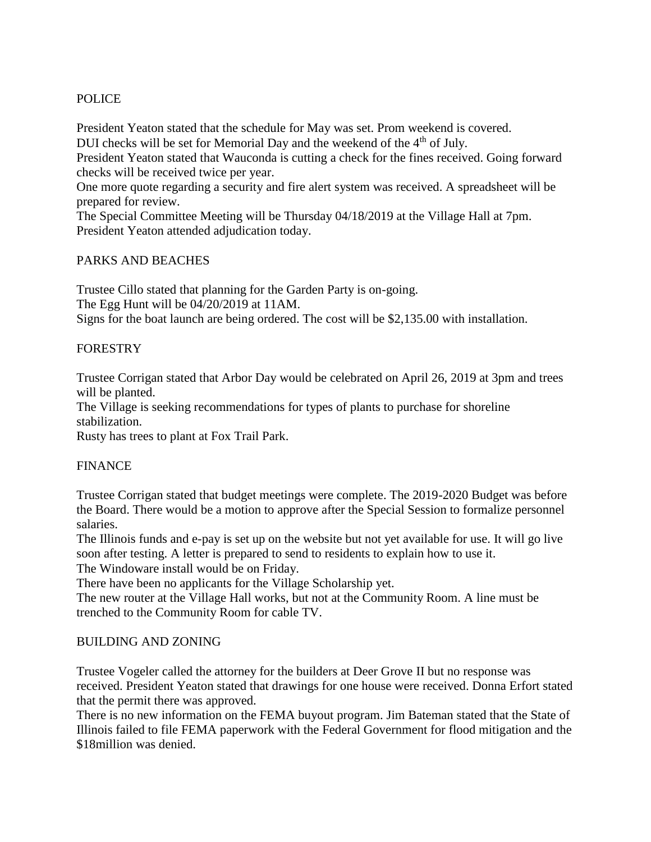# POLICE

President Yeaton stated that the schedule for May was set. Prom weekend is covered.

DUI checks will be set for Memorial Day and the weekend of the 4<sup>th</sup> of July.

President Yeaton stated that Wauconda is cutting a check for the fines received. Going forward checks will be received twice per year.

One more quote regarding a security and fire alert system was received. A spreadsheet will be prepared for review.

The Special Committee Meeting will be Thursday 04/18/2019 at the Village Hall at 7pm. President Yeaton attended adjudication today.

# PARKS AND BEACHES

Trustee Cillo stated that planning for the Garden Party is on-going. The Egg Hunt will be 04/20/2019 at 11AM. Signs for the boat launch are being ordered. The cost will be \$2,135.00 with installation.

# **FORESTRY**

Trustee Corrigan stated that Arbor Day would be celebrated on April 26, 2019 at 3pm and trees will be planted.

The Village is seeking recommendations for types of plants to purchase for shoreline stabilization.

Rusty has trees to plant at Fox Trail Park.

# FINANCE

Trustee Corrigan stated that budget meetings were complete. The 2019-2020 Budget was before the Board. There would be a motion to approve after the Special Session to formalize personnel salaries.

The Illinois funds and e-pay is set up on the website but not yet available for use. It will go live soon after testing. A letter is prepared to send to residents to explain how to use it.

The Windoware install would be on Friday.

There have been no applicants for the Village Scholarship yet.

The new router at the Village Hall works, but not at the Community Room. A line must be trenched to the Community Room for cable TV.

# BUILDING AND ZONING

Trustee Vogeler called the attorney for the builders at Deer Grove II but no response was received. President Yeaton stated that drawings for one house were received. Donna Erfort stated that the permit there was approved.

There is no new information on the FEMA buyout program. Jim Bateman stated that the State of Illinois failed to file FEMA paperwork with the Federal Government for flood mitigation and the \$18million was denied.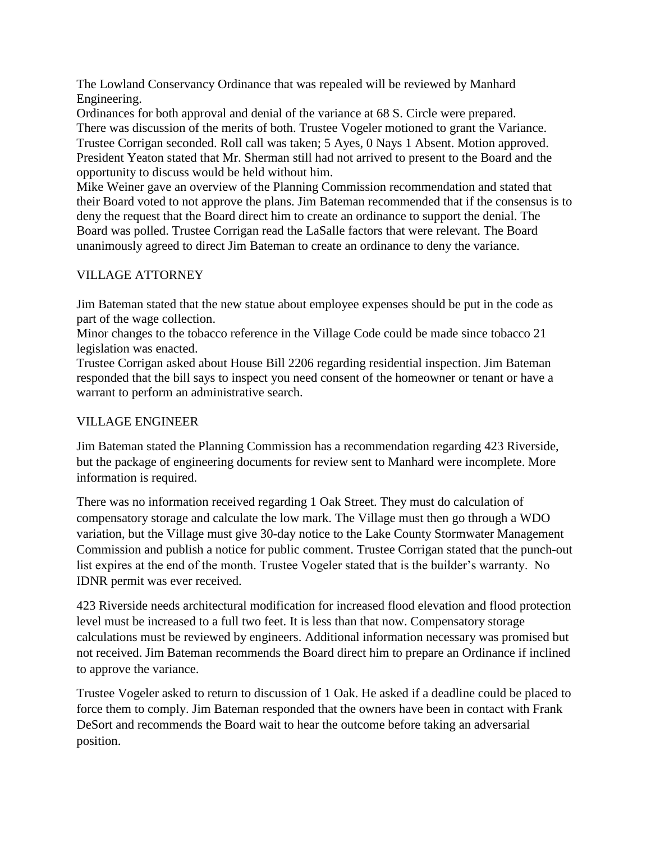The Lowland Conservancy Ordinance that was repealed will be reviewed by Manhard Engineering.

Ordinances for both approval and denial of the variance at 68 S. Circle were prepared. There was discussion of the merits of both. Trustee Vogeler motioned to grant the Variance. Trustee Corrigan seconded. Roll call was taken; 5 Ayes, 0 Nays 1 Absent. Motion approved. President Yeaton stated that Mr. Sherman still had not arrived to present to the Board and the opportunity to discuss would be held without him.

Mike Weiner gave an overview of the Planning Commission recommendation and stated that their Board voted to not approve the plans. Jim Bateman recommended that if the consensus is to deny the request that the Board direct him to create an ordinance to support the denial. The Board was polled. Trustee Corrigan read the LaSalle factors that were relevant. The Board unanimously agreed to direct Jim Bateman to create an ordinance to deny the variance.

# VILLAGE ATTORNEY

Jim Bateman stated that the new statue about employee expenses should be put in the code as part of the wage collection.

Minor changes to the tobacco reference in the Village Code could be made since tobacco 21 legislation was enacted.

Trustee Corrigan asked about House Bill 2206 regarding residential inspection. Jim Bateman responded that the bill says to inspect you need consent of the homeowner or tenant or have a warrant to perform an administrative search.

# VILLAGE ENGINEER

Jim Bateman stated the Planning Commission has a recommendation regarding 423 Riverside, but the package of engineering documents for review sent to Manhard were incomplete. More information is required.

There was no information received regarding 1 Oak Street. They must do calculation of compensatory storage and calculate the low mark. The Village must then go through a WDO variation, but the Village must give 30-day notice to the Lake County Stormwater Management Commission and publish a notice for public comment. Trustee Corrigan stated that the punch-out list expires at the end of the month. Trustee Vogeler stated that is the builder's warranty. No IDNR permit was ever received.

423 Riverside needs architectural modification for increased flood elevation and flood protection level must be increased to a full two feet. It is less than that now. Compensatory storage calculations must be reviewed by engineers. Additional information necessary was promised but not received. Jim Bateman recommends the Board direct him to prepare an Ordinance if inclined to approve the variance.

Trustee Vogeler asked to return to discussion of 1 Oak. He asked if a deadline could be placed to force them to comply. Jim Bateman responded that the owners have been in contact with Frank DeSort and recommends the Board wait to hear the outcome before taking an adversarial position.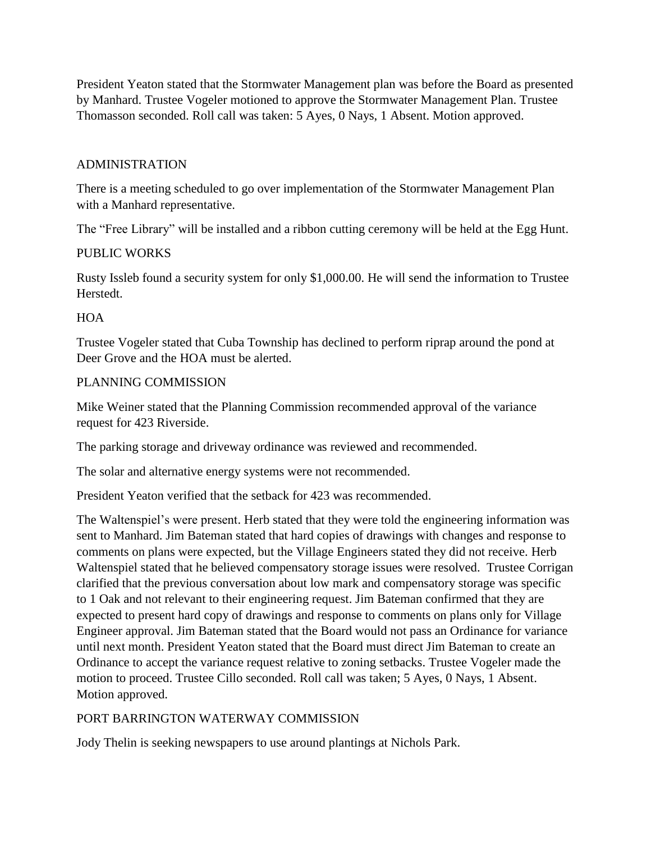President Yeaton stated that the Stormwater Management plan was before the Board as presented by Manhard. Trustee Vogeler motioned to approve the Stormwater Management Plan. Trustee Thomasson seconded. Roll call was taken: 5 Ayes, 0 Nays, 1 Absent. Motion approved.

### ADMINISTRATION

There is a meeting scheduled to go over implementation of the Stormwater Management Plan with a Manhard representative.

The "Free Library" will be installed and a ribbon cutting ceremony will be held at the Egg Hunt.

#### PUBLIC WORKS

Rusty Issleb found a security system for only \$1,000.00. He will send the information to Trustee Herstedt.

#### **HOA**

Trustee Vogeler stated that Cuba Township has declined to perform riprap around the pond at Deer Grove and the HOA must be alerted.

#### PLANNING COMMISSION

Mike Weiner stated that the Planning Commission recommended approval of the variance request for 423 Riverside.

The parking storage and driveway ordinance was reviewed and recommended.

The solar and alternative energy systems were not recommended.

President Yeaton verified that the setback for 423 was recommended.

The Waltenspiel's were present. Herb stated that they were told the engineering information was sent to Manhard. Jim Bateman stated that hard copies of drawings with changes and response to comments on plans were expected, but the Village Engineers stated they did not receive. Herb Waltenspiel stated that he believed compensatory storage issues were resolved. Trustee Corrigan clarified that the previous conversation about low mark and compensatory storage was specific to 1 Oak and not relevant to their engineering request. Jim Bateman confirmed that they are expected to present hard copy of drawings and response to comments on plans only for Village Engineer approval. Jim Bateman stated that the Board would not pass an Ordinance for variance until next month. President Yeaton stated that the Board must direct Jim Bateman to create an Ordinance to accept the variance request relative to zoning setbacks. Trustee Vogeler made the motion to proceed. Trustee Cillo seconded. Roll call was taken; 5 Ayes, 0 Nays, 1 Absent. Motion approved.

# PORT BARRINGTON WATERWAY COMMISSION

Jody Thelin is seeking newspapers to use around plantings at Nichols Park.